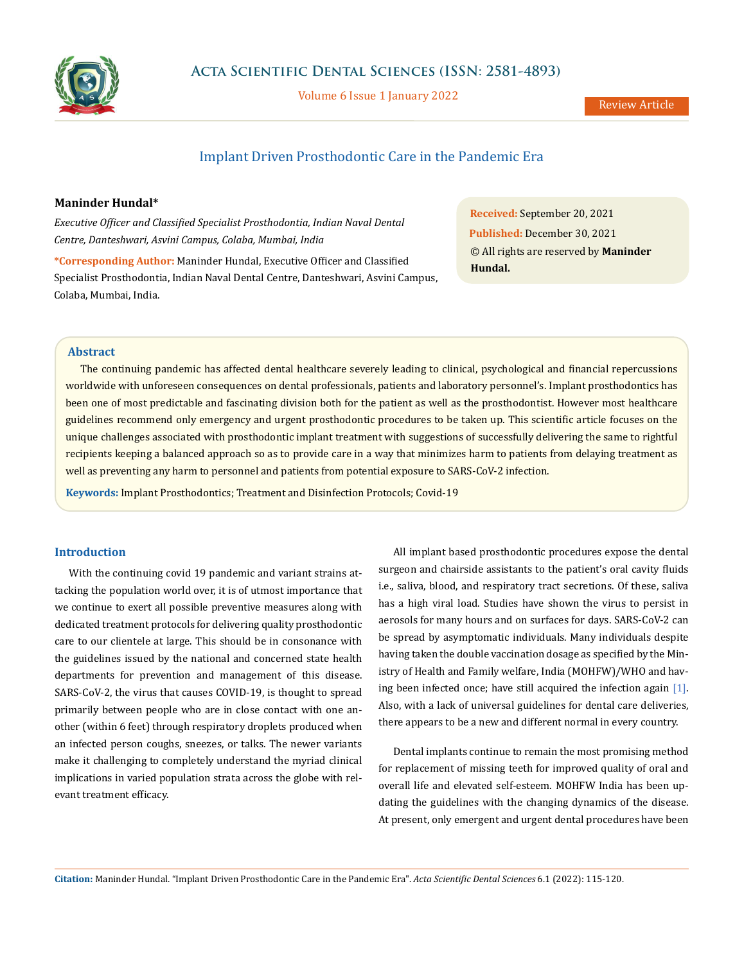

Volume 6 Issue 1 January 2022

# Implant Driven Prosthodontic Care in the Pandemic Era

### **Maninder Hundal\***

*Executive Officer and Classified Specialist Prosthodontia, Indian Naval Dental Centre, Danteshwari, Asvini Campus, Colaba, Mumbai, India*

**\*Corresponding Author:** Maninder Hundal, Executive Officer and Classified Specialist Prosthodontia, Indian Naval Dental Centre, Danteshwari, Asvini Campus, Colaba, Mumbai, India.

**Received:** September 20, 2021 **Published:** December 30, 2021 © All rights are reserved by **Maninder Hundal.**

#### **Abstract**

The continuing pandemic has affected dental healthcare severely leading to clinical, psychological and financial repercussions worldwide with unforeseen consequences on dental professionals, patients and laboratory personnel's. Implant prosthodontics has been one of most predictable and fascinating division both for the patient as well as the prosthodontist. However most healthcare guidelines recommend only emergency and urgent prosthodontic procedures to be taken up. This scientific article focuses on the unique challenges associated with prosthodontic implant treatment with suggestions of successfully delivering the same to rightful recipients keeping a balanced approach so as to provide care in a way that minimizes harm to patients from delaying treatment as well as preventing any harm to personnel and patients from potential exposure to SARS-CoV-2 infection.

**Keywords:** Implant Prosthodontics; Treatment and Disinfection Protocols; Covid-19

### **Introduction**

With the continuing covid 19 pandemic and variant strains attacking the population world over, it is of utmost importance that we continue to exert all possible preventive measures along with dedicated treatment protocols for delivering quality prosthodontic care to our clientele at large. This should be in consonance with the guidelines issued by the national and concerned state health departments for prevention and management of this disease. SARS-CoV-2, the virus that causes COVID-19, is thought to spread primarily between people who are in close contact with one another (within 6 feet) through respiratory droplets produced when an infected person coughs, sneezes, or talks. The newer variants make it challenging to completely understand the myriad clinical implications in varied population strata across the globe with relevant treatment efficacy.

All implant based prosthodontic procedures expose the dental surgeon and chairside assistants to the patient's oral cavity fluids i.e., saliva, blood, and respiratory tract secretions. Of these, saliva has a high viral load. Studies have shown the virus to persist in aerosols for many hours and on surfaces for days. SARS-CoV-2 can be spread by asymptomatic individuals. Many individuals despite having taken the double vaccination dosage as specified by the Ministry of Health and Family welfare, India (MOHFW)/WHO and having been infected once; have still acquired the infection again [1]. Also, with a lack of universal guidelines for dental care deliveries, there appears to be a new and different normal in every country.

Dental implants continue to remain the most promising method for replacement of missing teeth for improved quality of oral and overall life and elevated self-esteem. MOHFW India has been updating the guidelines with the changing dynamics of the disease. At present, only emergent and urgent dental procedures have been

**Citation:** Maninder Hundal*.* "Implant Driven Prosthodontic Care in the Pandemic Era". *Acta Scientific Dental Sciences* 6.1 (2022): 115-120.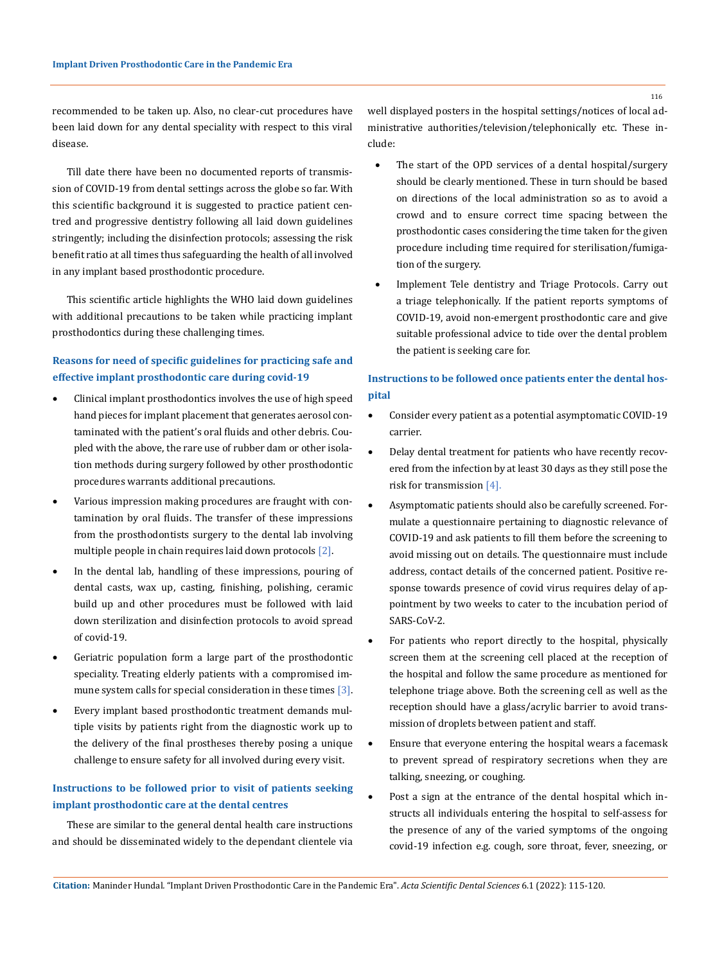recommended to be taken up. Also, no clear-cut procedures have been laid down for any dental speciality with respect to this viral disease.

Till date there have been no documented reports of transmission of COVID-19 from dental settings across the globe so far. With this scientific background it is suggested to practice patient centred and progressive dentistry following all laid down guidelines stringently; including the disinfection protocols; assessing the risk benefit ratio at all times thus safeguarding the health of all involved in any implant based prosthodontic procedure.

This scientific article highlights the WHO laid down guidelines with additional precautions to be taken while practicing implant prosthodontics during these challenging times.

# **Reasons for need of specific guidelines for practicing safe and effective implant prosthodontic care during covid-19**

- Clinical implant prosthodontics involves the use of high speed hand pieces for implant placement that generates aerosol contaminated with the patient's oral fluids and other debris. Coupled with the above, the rare use of rubber dam or other isolation methods during surgery followed by other prosthodontic procedures warrants additional precautions.
- Various impression making procedures are fraught with contamination by oral fluids. The transfer of these impressions from the prosthodontists surgery to the dental lab involving multiple people in chain requires laid down protocols [2].
- In the dental lab, handling of these impressions, pouring of dental casts, wax up, casting, finishing, polishing, ceramic build up and other procedures must be followed with laid down sterilization and disinfection protocols to avoid spread of covid-19.
- Geriatric population form a large part of the prosthodontic speciality. Treating elderly patients with a compromised immune system calls for special consideration in these times [3].
- Every implant based prosthodontic treatment demands multiple visits by patients right from the diagnostic work up to the delivery of the final prostheses thereby posing a unique challenge to ensure safety for all involved during every visit.

# **Instructions to be followed prior to visit of patients seeking implant prosthodontic care at the dental centres**

These are similar to the general dental health care instructions and should be disseminated widely to the dependant clientele via well displayed posters in the hospital settings/notices of local administrative authorities/television/telephonically etc. These include:

- The start of the OPD services of a dental hospital/surgery should be clearly mentioned. These in turn should be based on directions of the local administration so as to avoid a crowd and to ensure correct time spacing between the prosthodontic cases considering the time taken for the given procedure including time required for sterilisation/fumigation of the surgery.
- Implement Tele dentistry and Triage Protocols. Carry out a triage telephonically. If the patient reports symptoms of COVID-19, avoid non-emergent prosthodontic care and give suitable professional advice to tide over the dental problem the patient is seeking care for.

## **Instructions to be followed once patients enter the dental hospital**

- Consider every patient as a potential asymptomatic COVID-19 carrier.
- Delay dental treatment for patients who have recently recovered from the infection by at least 30 days as they still pose the risk for transmission [4].
- Asymptomatic patients should also be carefully screened. Formulate a questionnaire pertaining to diagnostic relevance of COVID-19 and ask patients to fill them before the screening to avoid missing out on details. The questionnaire must include address, contact details of the concerned patient. Positive response towards presence of covid virus requires delay of appointment by two weeks to cater to the incubation period of SARS-CoV-2.
- For patients who report directly to the hospital, physically screen them at the screening cell placed at the reception of the hospital and follow the same procedure as mentioned for telephone triage above. Both the screening cell as well as the reception should have a glass/acrylic barrier to avoid transmission of droplets between patient and staff.
- Ensure that everyone entering the hospital wears a facemask to prevent spread of respiratory secretions when they are talking, sneezing, or coughing.
- Post a sign at the entrance of the dental hospital which instructs all individuals entering the hospital to self-assess for the presence of any of the varied symptoms of the ongoing covid-19 infection e.g. cough, sore throat, fever, sneezing, or

116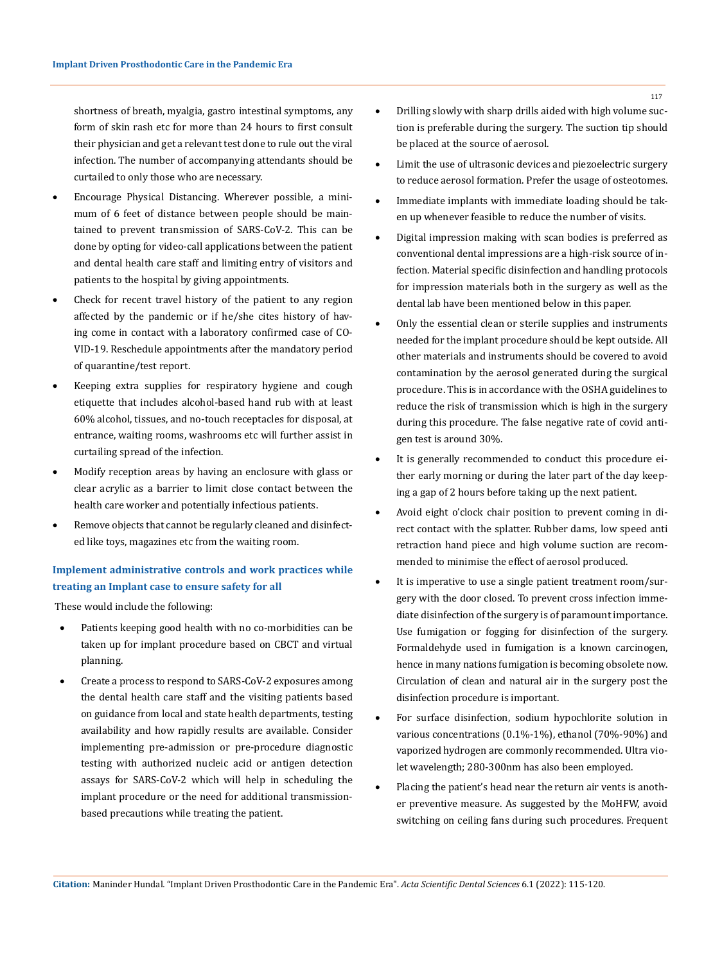shortness of breath, myalgia, gastro intestinal symptoms, any form of skin rash etc for more than 24 hours to first consult their physician and get a relevant test done to rule out the viral infection. The number of accompanying attendants should be curtailed to only those who are necessary.

- Encourage Physical Distancing. Wherever possible, a minimum of 6 feet of distance between people should be maintained to prevent transmission of SARS-CoV-2. This can be done by opting for video-call applications between the patient and dental health care staff and limiting entry of visitors and patients to the hospital by giving appointments.
- • Check for recent travel history of the patient to any region affected by the pandemic or if he/she cites history of having come in contact with a laboratory confirmed case of CO-VID-19. Reschedule appointments after the mandatory period of quarantine/test report.
- Keeping extra supplies for respiratory hygiene and cough etiquette that includes alcohol-based hand rub with at least 60% alcohol, tissues, and no-touch receptacles for disposal, at entrance, waiting rooms, washrooms etc will further assist in curtailing spread of the infection.
- Modify reception areas by having an enclosure with glass or clear acrylic as a barrier to limit close contact between the health care worker and potentially infectious patients.
- Remove objects that cannot be regularly cleaned and disinfected like toys, magazines etc from the waiting room.

## **Implement administrative controls and work practices while treating an Implant case to ensure safety for all**

These would include the following:

- Patients keeping good health with no co-morbidities can be taken up for implant procedure based on CBCT and virtual planning.
- Create a process to respond to SARS-CoV-2 exposures among the dental health care staff and the visiting patients based on guidance from local and state health departments, testing availability and how rapidly results are available. Consider implementing pre-admission or pre-procedure diagnostic testing with authorized nucleic acid or antigen detection assays for SARS-CoV-2 which will help in scheduling the implant procedure or the need for additional transmissionbased precautions while treating the patient.
- Drilling slowly with sharp drills aided with high volume suction is preferable during the surgery. The suction tip should be placed at the source of aerosol.
- Limit the use of ultrasonic devices and piezoelectric surgery to reduce aerosol formation. Prefer the usage of osteotomes.
- Immediate implants with immediate loading should be taken up whenever feasible to reduce the number of visits.
- Digital impression making with scan bodies is preferred as conventional dental impressions are a high-risk source of infection. Material specific disinfection and handling protocols for impression materials both in the surgery as well as the dental lab have been mentioned below in this paper.
- Only the essential clean or sterile supplies and instruments needed for the implant procedure should be kept outside. All other materials and instruments should be covered to avoid contamination by the aerosol generated during the surgical procedure. This is in accordance with the OSHA guidelines to reduce the risk of transmission which is high in the surgery during this procedure. The false negative rate of covid antigen test is around 30%.
- It is generally recommended to conduct this procedure either early morning or during the later part of the day keeping a gap of 2 hours before taking up the next patient.
- Avoid eight o'clock chair position to prevent coming in direct contact with the splatter. Rubber dams, low speed anti retraction hand piece and high volume suction are recommended to minimise the effect of aerosol produced.
- It is imperative to use a single patient treatment room/surgery with the door closed. To prevent cross infection immediate disinfection of the surgery is of paramount importance. Use fumigation or fogging for disinfection of the surgery. Formaldehyde used in fumigation is a known carcinogen, hence in many nations fumigation is becoming obsolete now. Circulation of clean and natural air in the surgery post the disinfection procedure is important.
- For surface disinfection, sodium hypochlorite solution in various concentrations (0.1%-1%), ethanol (70%-90%) and vaporized hydrogen are commonly recommended. Ultra violet wavelength; 280-300nm has also been employed.
- Placing the patient's head near the return air vents is another preventive measure. As suggested by the MoHFW, avoid switching on ceiling fans during such procedures. Frequent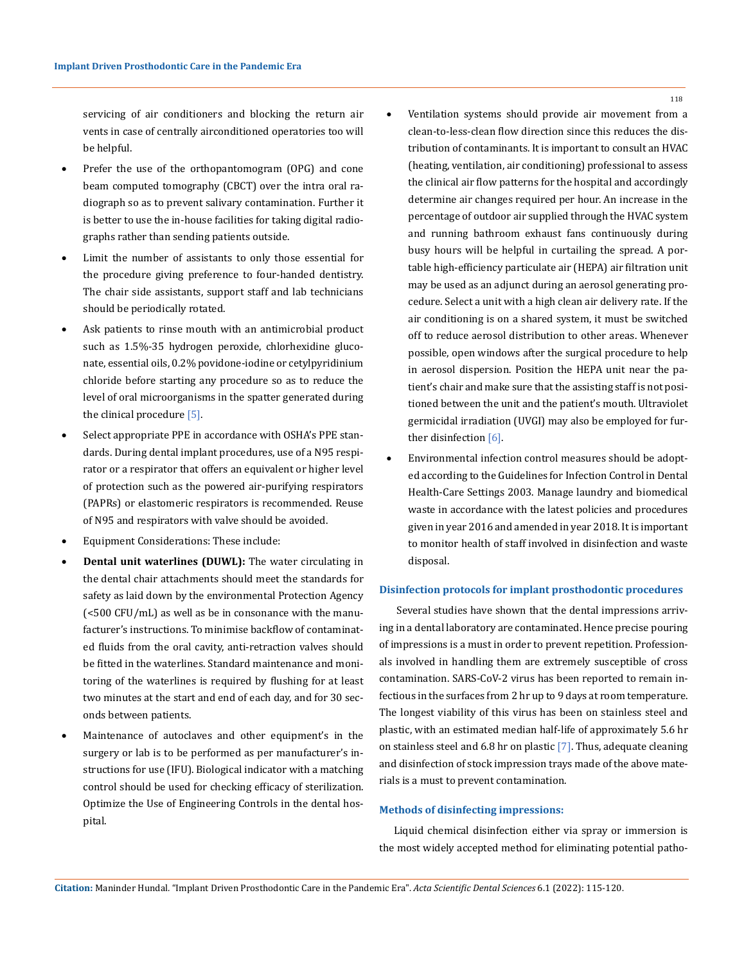servicing of air conditioners and blocking the return air vents in case of centrally airconditioned operatories too will be helpful.

- Prefer the use of the orthopantomogram (OPG) and cone beam computed tomography (CBCT) over the intra oral radiograph so as to prevent salivary contamination. Further it is better to use the in-house facilities for taking digital radiographs rather than sending patients outside.
- Limit the number of assistants to only those essential for the procedure giving preference to four-handed dentistry. The chair side assistants, support staff and lab technicians should be periodically rotated.
- Ask patients to rinse mouth with an antimicrobial product such as 1.5%-35 hydrogen peroxide, chlorhexidine gluconate, essential oils, 0.2% povidone-iodine or cetylpyridinium chloride before starting any procedure so as to reduce the level of oral microorganisms in the spatter generated during the clinical procedure [5].
- Select appropriate PPE in accordance with OSHA's PPE standards. During dental implant procedures, use of a N95 respirator or a respirator that offers an equivalent or higher level of protection such as the powered air-purifying respirators (PAPRs) or elastomeric respirators is recommended. Reuse of N95 and respirators with valve should be avoided.
- Equipment Considerations: These include:
- **Dental unit waterlines (DUWL):** The water circulating in the dental chair attachments should meet the standards for safety as laid down by the environmental Protection Agency (<500 CFU/mL) as well as be in consonance with the manufacturer's instructions. To minimise backflow of contaminated fluids from the oral cavity, anti-retraction valves should be fitted in the waterlines. Standard maintenance and monitoring of the waterlines is required by flushing for at least two minutes at the start and end of each day, and for 30 seconds between patients.
- Maintenance of autoclaves and other equipment's in the surgery or lab is to be performed as per manufacturer's instructions for use (IFU). Biological indicator with a matching control should be used for checking efficacy of sterilization. Optimize the Use of Engineering Controls in the dental hospital.

118

- clean-to-less-clean flow direction since this reduces the distribution of contaminants. It is important to consult an HVAC (heating, ventilation, air conditioning) professional to assess the clinical air flow patterns for the hospital and accordingly determine air changes required per hour. An increase in the percentage of outdoor air supplied through the HVAC system and running bathroom exhaust fans continuously during busy hours will be helpful in curtailing the spread. A portable high-efficiency particulate air (HEPA) air filtration unit may be used as an adjunct during an aerosol generating procedure. Select a unit with a high clean air delivery rate. If the air conditioning is on a shared system, it must be switched off to reduce aerosol distribution to other areas. Whenever possible, open windows after the surgical procedure to help in aerosol dispersion. Position the HEPA unit near the patient's chair and make sure that the assisting staff is not positioned between the unit and the patient's mouth. Ultraviolet germicidal irradiation (UVGI) may also be employed for further disinfection [6].
- Environmental infection control measures should be adopted according to the Guidelines for Infection Control in Dental Health-Care Settings 2003. Manage laundry and biomedical waste in accordance with the latest policies and procedures given in year 2016 and amended in year 2018. It is important to monitor health of staff involved in disinfection and waste disposal.

#### **Disinfection protocols for implant prosthodontic procedures**

 Several studies have shown that the dental impressions arriving in a dental laboratory are contaminated. Hence precise pouring of impressions is a must in order to prevent repetition. Professionals involved in handling them are extremely susceptible of cross contamination. SARS-CoV-2 virus has been reported to remain infectious in the surfaces from 2 hr up to 9 days at room temperature. The longest viability of this virus has been on stainless steel and plastic, with an estimated median half-life of approximately 5.6 hr on stainless steel and 6.8 hr on plastic [7]. Thus, adequate cleaning and disinfection of stock impression trays made of the above materials is a must to prevent contamination.

### **Methods of disinfecting impressions:**

Liquid chemical disinfection either via spray or immersion is the most widely accepted method for eliminating potential patho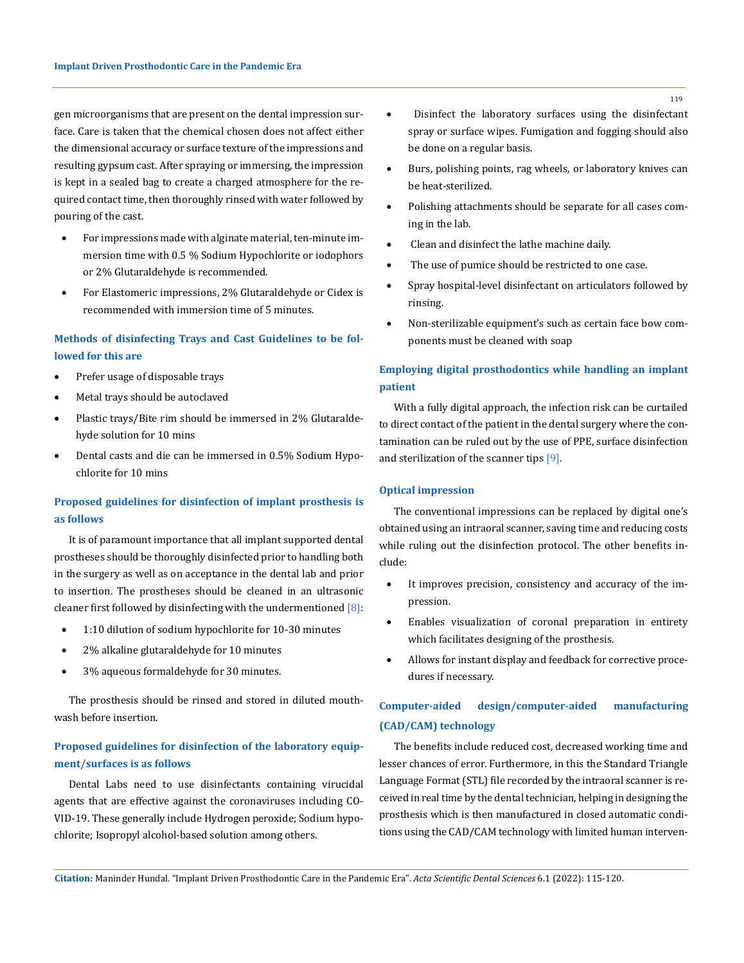gen microorganisms that are present on the dental impression surface. Care is taken that the chemical chosen does not affect either the dimensional accuracy or surface texture of the impressions and resulting gypsum cast. After spraying or immersing, the impression is kept in a sealed bag to create a charged atmosphere for the required contact time, then thoroughly rinsed with water followed by pouring of the cast.

- For impressions made with alginate material, ten-minute immersion time with 0.5 % Sodium Hypochlorite or iodophors or 2% Glutaraldehyde is recommended.
- For Elastomeric impressions, 2% Glutaraldehyde or Cidex is recommended with immersion time of 5 minutes.

## **Methods of disinfecting Trays and Cast Guidelines to be followed for this are**

- Prefer usage of disposable trays
- Metal trays should be autoclaved
- Plastic trays/Bite rim should be immersed in 2% Glutaraldehyde solution for 10 mins
- Dental casts and die can be immersed in 0.5% Sodium Hypochlorite for 10 mins

## **Proposed guidelines for disinfection of implant prosthesis is as follows**

It is of paramount importance that all implant supported dental prostheses should be thoroughly disinfected prior to handling both in the surgery as well as on acceptance in the dental lab and prior to insertion. The prostheses should be cleaned in an ultrasonic cleaner first followed by disinfecting with the undermentioned  $[8]$ :

- 1:10 dilution of sodium hypochlorite for 10-30 minutes
- 2% alkaline glutaraldehyde for 10 minutes
- 3% aqueous formaldehyde for 30 minutes.

The prosthesis should be rinsed and stored in diluted mouthwash before insertion.

## **Proposed guidelines for disinfection of the laboratory equipment/surfaces is as follows**

Dental Labs need to use disinfectants containing virucidal agents that are effective against the coronaviruses including CO-VID-19. These generally include Hydrogen peroxide; Sodium hypochlorite; Isopropyl alcohol-based solution among others.

- • Disinfect the laboratory surfaces using the disinfectant spray or surface wipes. Fumigation and fogging should also be done on a regular basis.
- Burs, polishing points, rag wheels, or laboratory knives can be heat-sterilized.
- Polishing attachments should be separate for all cases coming in the lab.
- Clean and disinfect the lathe machine daily.
- The use of pumice should be restricted to one case.
- Spray hospital-level disinfectant on articulators followed by rinsing.
- Non-sterilizable equipment's such as certain face bow components must be cleaned with soap

# **Employing digital prosthodontics while handling an implant patient**

With a fully digital approach, the infection risk can be curtailed to direct contact of the patient in the dental surgery where the contamination can be ruled out by the use of PPE, surface disinfection and sterilization of the scanner tips [9].

#### **Optical impression**

The conventional impressions can be replaced by digital one's obtained using an intraoral scanner, saving time and reducing costs while ruling out the disinfection protocol. The other benefits include:

- It improves precision, consistency and accuracy of the impression.
- Enables visualization of coronal preparation in entirety which facilitates designing of the prosthesis.
- Allows for instant display and feedback for corrective procedures if necessary.

# **Computer-aided design/computer-aided manufacturing (CAD/CAM) technology**

The benefits include reduced cost, decreased working time and lesser chances of error. Furthermore, in this the Standard Triangle Language Format (STL) file recorded by the intraoral scanner is received in real time by the dental technician, helping in designing the prosthesis which is then manufactured in closed automatic conditions using the CAD/CAM technology with limited human interven-

**Citation:** Maninder Hundal*.* "Implant Driven Prosthodontic Care in the Pandemic Era". *Acta Scientific Dental Sciences* 6.1 (2022): 115-120.

119